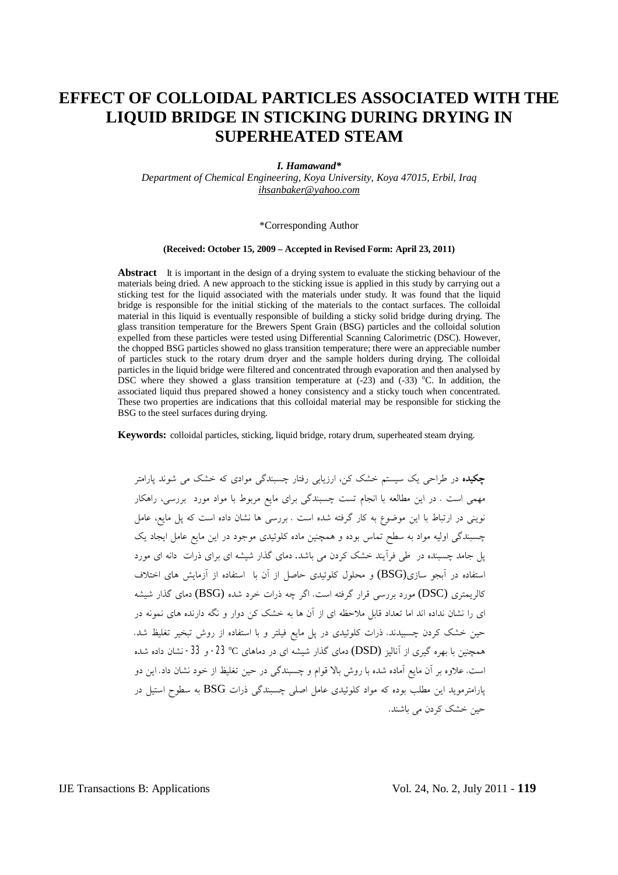# **EFFECT OF COLLOIDAL PARTICLES ASSOCIATED WITH THE LIQUID BRIDGE IN STICKING DURING DRYING IN SUPERHEATED STEAM**

#### *I. Hamawand\**

*Department of Chemical Engineering, Koya University, Koya 47015, Erbil, Iraq [ihsanbaker@yahoo.com](mailto:ihsanbaker@yahoo.com)*

#### \*Corresponding Author

#### **(Received: October 15, 2009 – Accepted in Revised Form: April 23, 2011)**

**Abstract** It is important in the design of a drying system to evaluate the sticking behaviour of the materials being dried. A new approach to the sticking issue is applied in this study by carrying out a sticking test for the liquid associated with the materials under study. It was found that the liquid bridge is responsible for the initial sticking of the materials to the contact surfaces. The colloidal material in this liquid is eventually responsible of building a sticky solid bridge during drying. The glass transition temperature for the Brewers Spent Grain (BSG) particles and the colloidal solution expelled from these particles were tested using Differential Scanning Calorimetric (DSC). However, the chopped BSG particles showed no glass transition temperature; there were an appreciable number of particles stuck to the rotary drum dryer and the sample holders during drying. The colloidal particles in the liquid bridge were filtered and concentrated through evaporation and then analysed by DSC where they showed a glass transition temperature at  $(-23)$  and  $(-33)$  °C. In addition, the associated liquid thus prepared showed a honey consistency and a sticky touch when concentrated. These two properties are indications that this colloidal material may be responsible for sticking the BSG to the steel surfaces during drying.

**Keywords:** colloidal particles, sticking, liquid bridge, rotary drum, superheated steam drying.

**چکیده** در طراحی یک سیستم خشک کن، ارزیابی رفتار چسبندگی موادي که خشک می شوند پارامتر مهمی است . در این مطالعه با انجام تست چسبندگی براي مایع مربوط با مواد مورد بررسی، راهکار نوینی در ارتباط با این موضوع به کار گرفته شده است . بررسی ها نشان داده است که پل مایع، عامل چسبندگی اولیه مواد به سطح تماس بوده و همچنین ماده کلوئیدي موجود در این مایع عامل ایجاد یک پل جامد چسبنده در طی فرآیند خشک کردن می باشد. دماي گذار شیشه اي براي ذرات دانه اي مورد استفاده در آبجو سازي(BSG (و محلول کلوئیدي حاصل از آن با استفاده از آزمایش هاي اختلاف کالریمتري (DSC) مورد بررسی قرار گرفته است. اگر چه ذرات خرد شده (BSG) دماي گذار شیشه اي را نشان نداده اند اما تعداد قابل ملاحظه اي از آن ها به خشک کن دوار و نگه دارنده هاي نمونه در حین خشک کردن چسبیدند. ذرات کلوئیدي در پل مایع فیلتر و با استفاده از روش تبخیر تغلیظ شد. همچنین با بهره گیری از آنالیز (DSD) دمای گذار شیشه ای در دماهای C° 23- و 33- نشان داده شده است. علاوه بر آن مایع آماده شده با روش بالا قوام و چسبندگی در حین تغلیظ از خود نشان داد. این دو پارامترموید این مطلب بوده که مواد کلوئیدي عامل اصلی چسبندگی ذرات BSG به سطوح استیل در حین خشک کردن می باشند.

IJE Transactions B: Applications Vol. 24, No. 2, July 2011 - **119**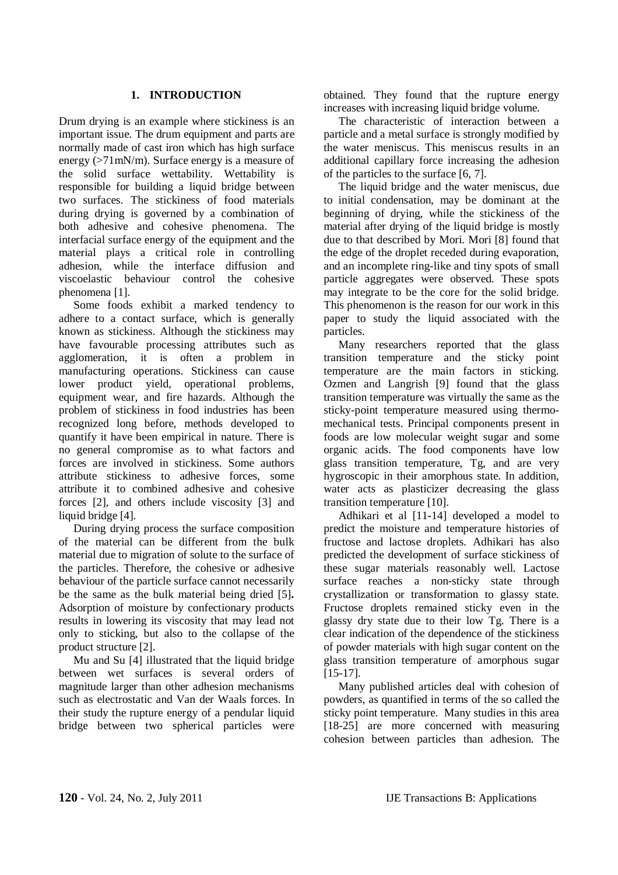# **1. INTRODUCTION**

Drum drying is an example where stickiness is an important issue. The drum equipment and parts are normally made of cast iron which has high surface energy (>71mN/m). Surface energy is a measure of the solid surface wettability. Wettability is responsible for building a liquid bridge between two surfaces. The stickiness of food materials during drying is governed by a combination of both adhesive and cohesive phenomena. The interfacial surface energy of the equipment and the material plays a critical role in controlling adhesion, while the interface diffusion and viscoelastic behaviour control the cohesive phenomena [1].

Some foods exhibit a marked tendency to adhere to a contact surface, which is generally known as stickiness. Although the stickiness may have favourable processing attributes such as agglomeration, it is often a problem in manufacturing operations. Stickiness can cause lower product yield, operational problems, equipment wear, and fire hazards. Although the problem of stickiness in food industries has been recognized long before, methods developed to quantify it have been empirical in nature. There is no general compromise as to what factors and forces are involved in stickiness. Some authors attribute stickiness to adhesive forces, some attribute it to combined adhesive and cohesive forces [2], and others include viscosity [3] and liquid bridge [4].

During drying process the surface composition of the material can be different from the bulk material due to migration of solute to the surface of the particles. Therefore, the cohesive or adhesive behaviour of the particle surface cannot necessarily be the same as the bulk material being dried [5]**.** Adsorption of moisture by confectionary products results in lowering its viscosity that may lead not only to sticking, but also to the collapse of the product structure [2].

Mu and Su [4] illustrated that the liquid bridge between wet surfaces is several orders of magnitude larger than other adhesion mechanisms such as electrostatic and Van der Waals forces. In their study the rupture energy of a pendular liquid bridge between two spherical particles were

obtained. They found that the rupture energy increases with increasing liquid bridge volume.

The characteristic of interaction between a particle and a metal surface is strongly modified by the water meniscus. This meniscus results in an additional capillary force increasing the adhesion of the particles to the surface [6, 7].

The liquid bridge and the water meniscus, due to initial condensation, may be dominant at the beginning of drying, while the stickiness of the material after drying of the liquid bridge is mostly due to that described by Mori. Mori [8] found that the edge of the droplet receded during evaporation, and an incomplete ring-like and tiny spots of small particle aggregates were observed. These spots may integrate to be the core for the solid bridge. This phenomenon is the reason for our work in this paper to study the liquid associated with the particles.

Many researchers reported that the glass transition temperature and the sticky point temperature are the main factors in sticking. Ozmen and Langrish [9] found that the glass transition temperature was virtually the same as the sticky-point temperature measured using thermomechanical tests. Principal components present in foods are low molecular weight sugar and some organic acids. The food components have low glass transition temperature, Tg, and are very hygroscopic in their amorphous state. In addition, water acts as plasticizer decreasing the glass transition temperature [10].

Adhikari et al [11**-**14] developed a model to predict the moisture and temperature histories of fructose and lactose droplets. Adhikari has also predicted the development of surface stickiness of these sugar materials reasonably well. Lactose surface reaches a non-sticky state through crystallization or transformation to glassy state. Fructose droplets remained sticky even in the glassy dry state due to their low Tg. There is a clear indication of the dependence of the stickiness of powder materials with high sugar content on the glass transition temperature of amorphous sugar [15-17].

Many published articles deal with cohesion of powders, as quantified in terms of the so called the sticky point temperature. Many studies in this area [18-25] are more concerned with measuring cohesion between particles than adhesion. The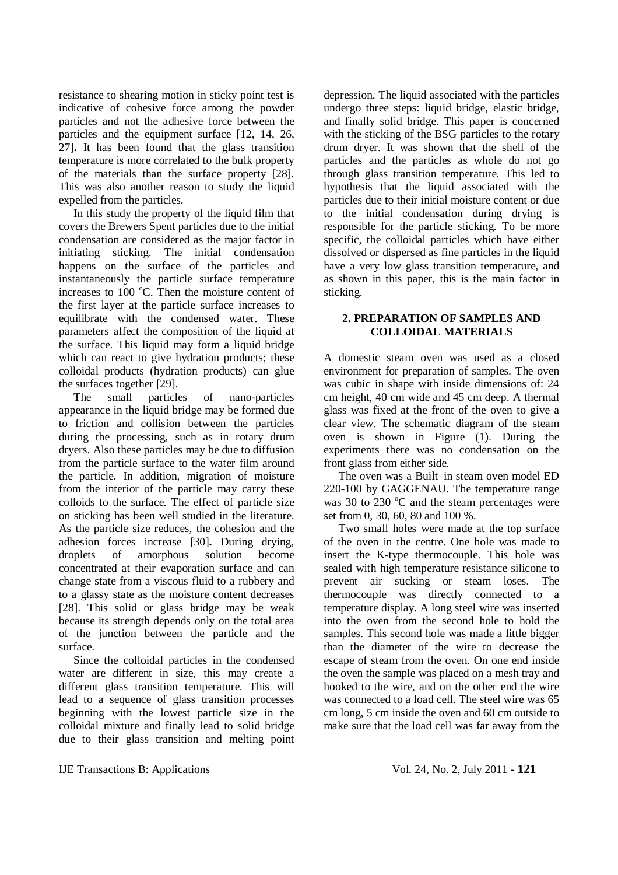resistance to shearing motion in sticky point test is indicative of cohesive force among the powder particles and not the adhesive force between the particles and the equipment surface [12, 14, 26, 27]**.** It has been found that the glass transition temperature is more correlated to the bulk property of the materials than the surface property [28]. This was also another reason to study the liquid expelled from the particles.

In this study the property of the liquid film that covers the Brewers Spent particles due to the initial condensation are considered as the major factor in initiating sticking. The initial condensation happens on the surface of the particles and instantaneously the particle surface temperature increases to  $100^{\circ}$ C. Then the moisture content of the first layer at the particle surface increases to equilibrate with the condensed water. These parameters affect the composition of the liquid at the surface. This liquid may form a liquid bridge which can react to give hydration products; these colloidal products (hydration products) can glue the surfaces together [29].

The small particles of nano-particles appearance in the liquid bridge may be formed due to friction and collision between the particles during the processing, such as in rotary drum dryers. Also these particles may be due to diffusion from the particle surface to the water film around the particle. In addition, migration of moisture from the interior of the particle may carry these colloids to the surface. The effect of particle size on sticking has been well studied in the literature. As the particle size reduces, the cohesion and the adhesion forces increase [30]**.** During drying, droplets of amorphous solution become concentrated at their evaporation surface and can change state from a viscous fluid to a rubbery and to a glassy state as the moisture content decreases [28]. This solid or glass bridge may be weak because its strength depends only on the total area of the junction between the particle and the surface.

Since the colloidal particles in the condensed water are different in size, this may create a different glass transition temperature. This will lead to a sequence of glass transition processes beginning with the lowest particle size in the colloidal mixture and finally lead to solid bridge due to their glass transition and melting point depression. The liquid associated with the particles undergo three steps: liquid bridge, elastic bridge, and finally solid bridge. This paper is concerned with the sticking of the BSG particles to the rotary drum dryer. It was shown that the shell of the particles and the particles as whole do not go through glass transition temperature. This led to hypothesis that the liquid associated with the particles due to their initial moisture content or due to the initial condensation during drying is responsible for the particle sticking. To be more specific, the colloidal particles which have either dissolved or dispersed as fine particles in the liquid have a very low glass transition temperature, and as shown in this paper, this is the main factor in sticking.

# **2. PREPARATION OF SAMPLES AND COLLOIDAL MATERIALS**

A domestic steam oven was used as a closed environment for preparation of samples. The oven was cubic in shape with inside dimensions of: 24 cm height, 40 cm wide and 45 cm deep. A thermal glass was fixed at the front of the oven to give a clear view. The schematic diagram of the steam oven is shown in Figure (1). During the experiments there was no condensation on the front glass from either side.

The oven was a Built–in steam oven model ED 220-100 by GAGGENAU. The temperature range was 30 to 230  $^{\circ}$ C and the steam percentages were set from 0, 30, 60, 80 and 100 %.

Two small holes were made at the top surface of the oven in the centre. One hole was made to insert the K-type thermocouple. This hole was sealed with high temperature resistance silicone to prevent air sucking or steam loses. The thermocouple was directly connected to a temperature display. A long steel wire was inserted into the oven from the second hole to hold the samples. This second hole was made a little bigger than the diameter of the wire to decrease the escape of steam from the oven. On one end inside the oven the sample was placed on a mesh tray and hooked to the wire, and on the other end the wire was connected to a load cell. The steel wire was 65 cm long, 5 cm inside the oven and 60 cm outside to make sure that the load cell was far away from the

IJE Transactions B: Applications Vol. 24, No. 2, July 2011 - **121**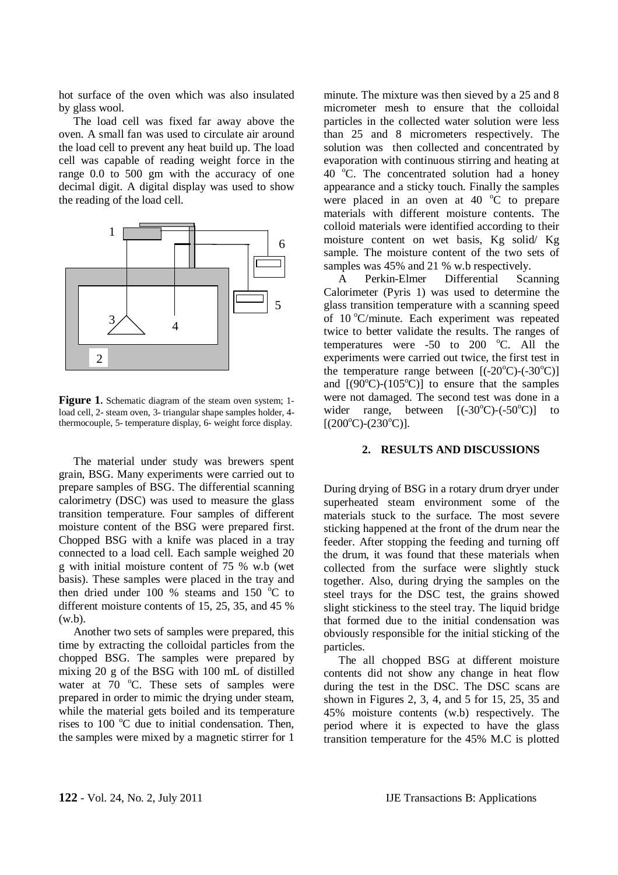hot surface of the oven which was also insulated by glass wool.

The load cell was fixed far away above the oven. A small fan was used to circulate air around the load cell to prevent any heat build up. The load cell was capable of reading weight force in the range 0.0 to 500 gm with the accuracy of one decimal digit. A digital display was used to show the reading of the load cell.



**Figure 1.** Schematic diagram of the steam oven system; 1 load cell, 2- steam oven, 3- triangular shape samples holder, 4 thermocouple, 5- temperature display, 6- weight force display.

The material under study was brewers spent grain, BSG. Many experiments were carried out to prepare samples of BSG. The differential scanning calorimetry (DSC) was used to measure the glass transition temperature. Four samples of different moisture content of the BSG were prepared first. Chopped BSG with a knife was placed in a tray connected to a load cell. Each sample weighed 20 g with initial moisture content of 75 % w.b (wet basis). These samples were placed in the tray and then dried under 100 % steams and 150  $^{\circ}$ C to different moisture contents of 15, 25, 35, and 45 % (w.b).

Another two sets of samples were prepared, this time by extracting the colloidal particles from the chopped BSG. The samples were prepared by mixing 20 g of the BSG with 100 mL of distilled water at  $70^{\circ}$ C. These sets of samples were prepared in order to mimic the drying under steam, while the material gets boiled and its temperature rises to  $100^{\circ}$ C due to initial condensation. Then, the samples were mixed by a magnetic stirrer for 1

minute. The mixture was then sieved by a 25 and 8 micrometer mesh to ensure that the colloidal particles in the collected water solution were less than 25 and 8 micrometers respectively. The solution was then collected and concentrated by evaporation with continuous stirring and heating at 40  $^{\circ}$ C. The concentrated solution had a honey appearance and a sticky touch. Finally the samples were placed in an oven at  $40^{\circ}$ C to prepare materials with different moisture contents. The colloid materials were identified according to their moisture content on wet basis, Kg solid/ Kg sample. The moisture content of the two sets of samples was 45% and 21 % w.b respectively.

A Perkin-Elmer Differential Scanning Calorimeter (Pyris 1) was used to determine the glass transition temperature with a scanning speed of 10 °C/minute. Each experiment was repeated twice to better validate the results. The ranges of temperatures were  $-50$  to  $200$  °C. All the experiments were carried out twice, the first test in the temperature range between  $[(-20^{\circ}C)$ - $(-30^{\circ}C)]$ and  $[(90^{\circ}C)-(105^{\circ}C)]$  to ensure that the samples were not damaged. The second test was done in a wider range, between  $[(-30^{\circ}C)$ - $(-50^{\circ}C)$ ] to  $[(200^{\circ}C)-(230^{\circ}C)].$ 

## **2. RESULTS AND DISCUSSIONS**

During drying of BSG in a rotary drum dryer under superheated steam environment some of the materials stuck to the surface. The most severe sticking happened at the front of the drum near the feeder. After stopping the feeding and turning off the drum, it was found that these materials when collected from the surface were slightly stuck together. Also, during drying the samples on the steel trays for the DSC test, the grains showed slight stickiness to the steel tray. The liquid bridge that formed due to the initial condensation was obviously responsible for the initial sticking of the particles.

The all chopped BSG at different moisture contents did not show any change in heat flow during the test in the DSC. The DSC scans are shown in Figures 2, 3, 4, and 5 for 15, 25, 35 and 45% moisture contents (w.b) respectively. The period where it is expected to have the glass transition temperature for the 45% M.C is plotted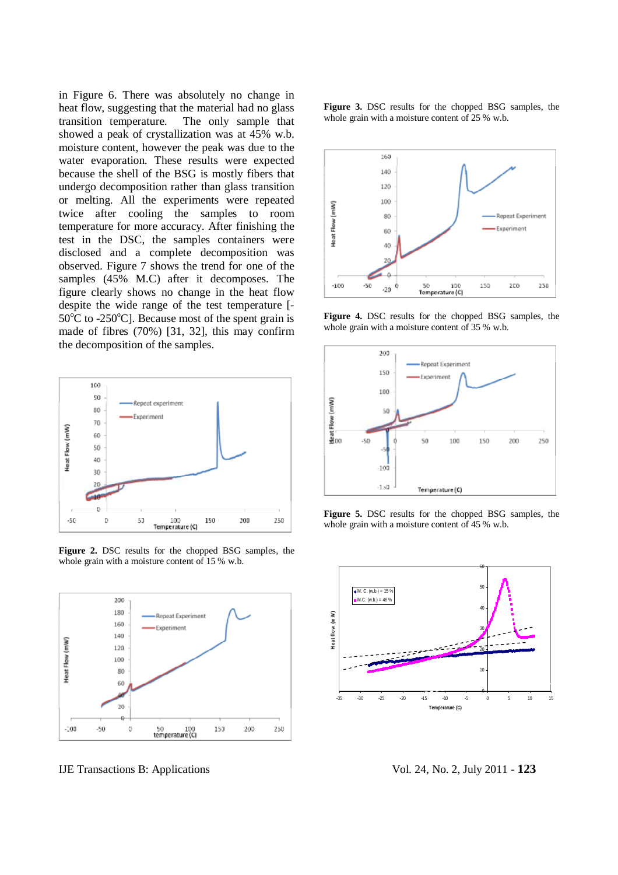in Figure 6. There was absolutely no change in heat flow, suggesting that the material had no glass transition temperature. The only sample that showed a peak of crystallization was at 45% w.b. moisture content, however the peak was due to the water evaporation. These results were expected because the shell of the BSG is mostly fibers that undergo decomposition rather than glass transition or melting. All the experiments were repeated twice after cooling the samples to room temperature for more accuracy. After finishing the test in the DSC, the samples containers were disclosed and a complete decomposition was observed. Figure 7 shows the trend for one of the samples (45% M.C) after it decomposes. The figure clearly shows no change in the heat flow despite the wide range of the test temperature [-  $50^{\circ}$ C to -250 $^{\circ}$ C]. Because most of the spent grain is made of fibres (70%) [31, 32], this may confirm the decomposition of the samples.



**Figure 2.** DSC results for the chopped BSG samples, the whole grain with a moisture content of 15 % w.b.



IJE Transactions B: Applications Vol. 24, No. 2, July 2011 - **123**

**Figure 3.** DSC results for the chopped BSG samples, the whole grain with a moisture content of 25 % w.b.



**Figure 4.** DSC results for the chopped BSG samples, the whole grain with a moisture content of 35 % w.b.



**Figure 5.** DSC results for the chopped BSG samples, the whole grain with a moisture content of 45 % w.b.

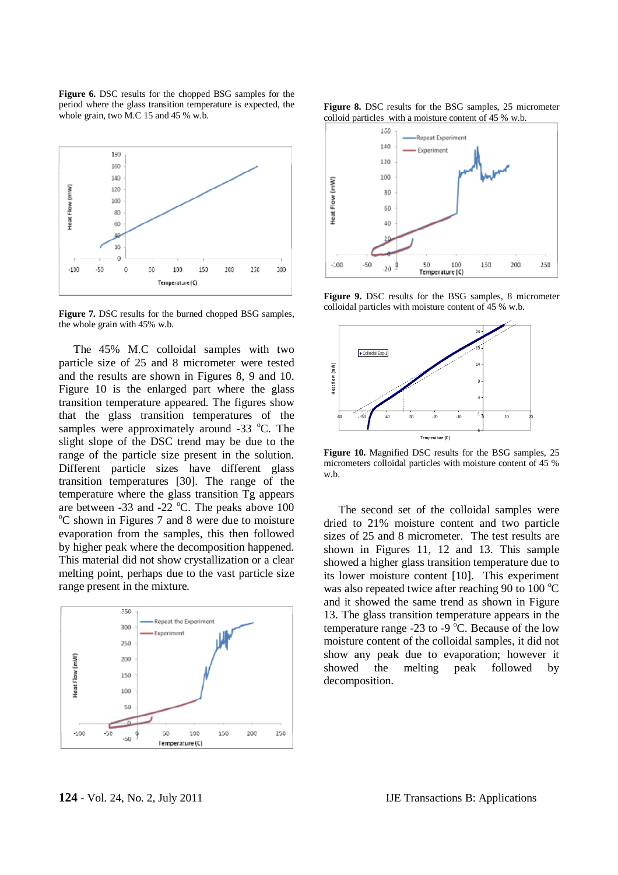**Figure 6.** DSC results for the chopped BSG samples for the period where the glass transition temperature is expected, the whole grain, two M.C 15 and 45 % w.b.



**Figure 7.** DSC results for the burned chopped BSG samples, the whole grain with 45% w.b.

The 45% M.C colloidal samples with two particle size of 25 and 8 micrometer were tested and the results are shown in Figures 8, 9 and 10. Figure 10 is the enlarged part where the glass transition temperature appeared. The figures show that the glass transition temperatures of the samples were approximately around  $-33$  °C. The slight slope of the DSC trend may be due to the range of the particle size present in the solution. Different particle sizes have different glass transition temperatures [30]. The range of the temperature where the glass transition Tg appears are between  $-33$  and  $-22$  °C. The peaks above 100  $\rm{^{\circ}C}$  shown in Figures 7 and 8 were due to moisture evaporation from the samples, this then followed by higher peak where the decomposition happened. This material did not show crystallization or a clear melting point, perhaps due to the vast particle size range present in the mixture.







**Figure 9.** DSC results for the BSG samples, 8 micrometer colloidal particles with moisture content of 45 % w.b.



**Figure 10.** Magnified DSC results for the BSG samples, 25 micrometers colloidal particles with moisture content of 45 % w.b.

The second set of the colloidal samples were dried to 21% moisture content and two particle sizes of 25 and 8 micrometer. The test results are shown in Figures 11, 12 and 13. This sample showed a higher glass transition temperature due to its lower moisture content [10]. This experiment was also repeated twice after reaching 90 to 100  $^{\circ}$ C and it showed the same trend as shown in Figure 13. The glass transition temperature appears in the temperature range -23 to -9  $^{\circ}$ C. Because of the low moisture content of the colloidal samples, it did not show any peak due to evaporation; however it showed the melting peak followed by decomposition.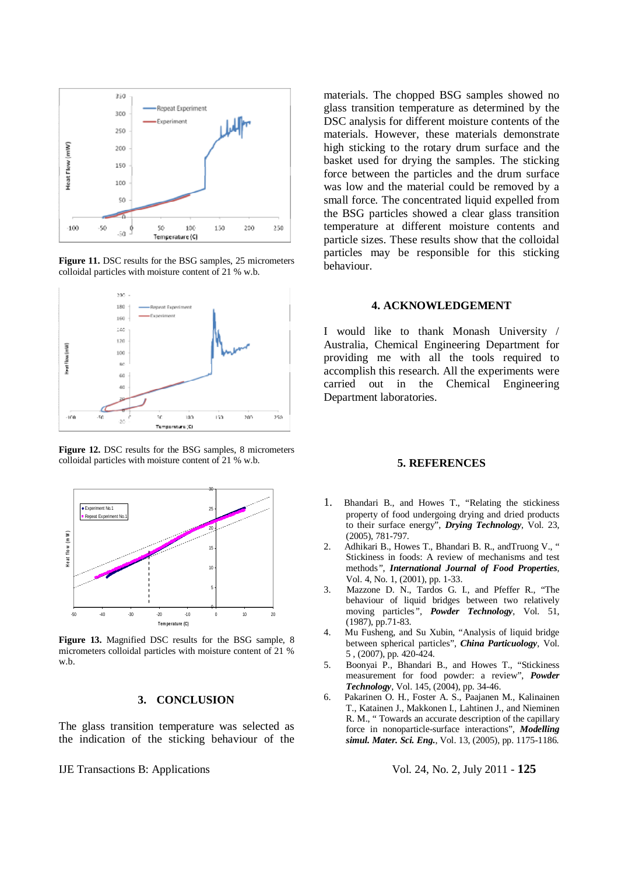

**Figure 11.** DSC results for the BSG samples, 25 micrometers colloidal particles with moisture content of 21 % w.b.



**Figure 12.** DSC results for the BSG samples, 8 micrometers colloidal particles with moisture content of 21 % w.b.



**Figure 13.** Magnified DSC results for the BSG sample, 8 micrometers colloidal particles with moisture content of 21 % w.b.

### **3. CONCLUSION**

The glass transition temperature was selected as the indication of the sticking behaviour of the

materials. The chopped BSG samples showed no glass transition temperature as determined by the DSC analysis for different moisture contents of the materials. However, these materials demonstrate high sticking to the rotary drum surface and the basket used for drying the samples. The sticking force between the particles and the drum surface was low and the material could be removed by a small force. The concentrated liquid expelled from the BSG particles showed a clear glass transition temperature at different moisture contents and particle sizes. These results show that the colloidal particles may be responsible for this sticking behaviour.

### **4. ACKNOWLEDGEMENT**

I would like to thank Monash University / Australia, Chemical Engineering Department for providing me with all the tools required to accomplish this research. All the experiments were carried out in the Chemical Engineering Department laboratories.

### **5. REFERENCES**

- 1. Bhandari B., and Howes T., "Relating the stickiness property of food undergoing drying and dried products to their surface energy", *Drying Technology*, Vol. 23, (2005), 781-797.
- 2. Adhikari B., Howes T., Bhandari B. R., andTruong V., " Stickiness in foods: A review of mechanisms and test methods*", International Journal of Food Properties*, Vol. 4, No. 1, (2001), pp. 1-33.
- 3. Mazzone D. N., Tardos G. I., and Pfeffer R., "The behaviour of liquid bridges between two relatively moving particles*", Powder Technology*, Vol. 51, (1987), pp.71-83.
- 4. Mu Fusheng, and Su Xubin, "Analysis of liquid bridge between spherical particles", *China Particuology*, Vol. 5 , (2007), pp. 420-424.
- 5. Boonyai P., Bhandari B., and Howes T., "Stickiness measurement for food powder: a review", *Powder Technology*, Vol. 145, (2004), pp. 34-46.
- 6. Pakarinen O. H., Foster A. S., Paajanen M., Kalinainen T., Katainen J., Makkonen I., Lahtinen J., and Nieminen R. M., " Towards an accurate description of the capillary force in nonoparticle-surface interactions", *Modelling simul. Mater. Sci. Eng***.**, Vol. 13, (2005), pp. 1175-1186.

IJE Transactions B: Applications Vol. 24, No. 2, July 2011 - **125**